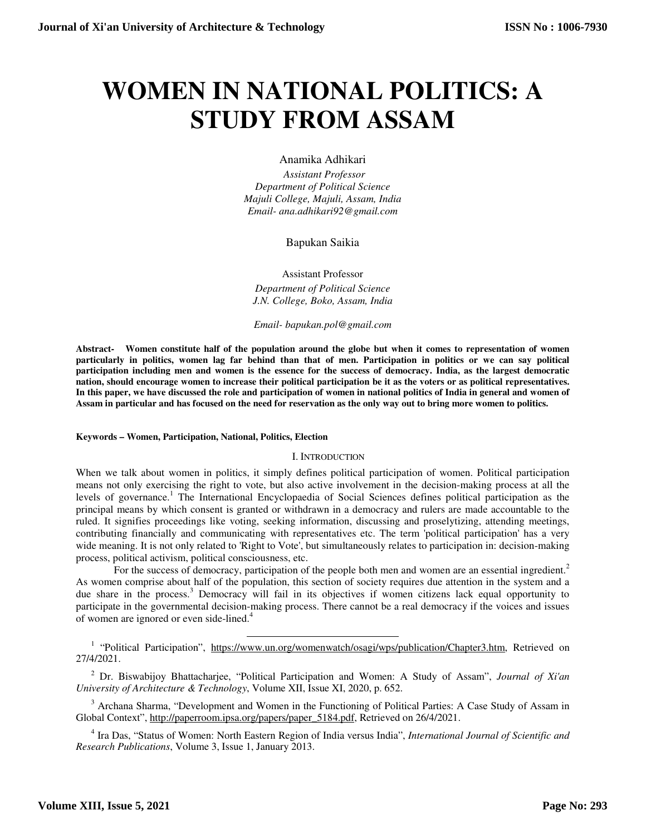# **WOMEN IN NATIONAL POLITICS: A STUDY FROM ASSAM**

Anamika Adhikari

 *Assistant Professor Department of Political Science Majuli College, Majuli, Assam, India Email- ana.adhikari92@gmail.com* 

Bapukan Saikia

Assistant Professor *Department of Political Science J.N. College, Boko, Assam, India* 

*Email- bapukan.pol@gmail.com*

**Abstract- Women constitute half of the population around the globe but when it comes to representation of women particularly in politics, women lag far behind than that of men. Participation in politics or we can say political participation including men and women is the essence for the success of democracy. India, as the largest democratic nation, should encourage women to increase their political participation be it as the voters or as political representatives. In this paper, we have discussed the role and participation of women in national politics of India in general and women of Assam in particular and has focused on the need for reservation as the only way out to bring more women to politics.** 

## **Keywords – Women, Participation, National, Politics, Election**

## I. INTRODUCTION

When we talk about women in politics, it simply defines political participation of women. Political participation means not only exercising the right to vote, but also active involvement in the decision-making process at all the levels of governance.<sup>1</sup> The International Encyclopaedia of Social Sciences defines political participation as the principal means by which consent is granted or withdrawn in a democracy and rulers are made accountable to the ruled. It signifies proceedings like voting, seeking information, discussing and proselytizing, attending meetings, contributing financially and communicating with representatives etc. The term 'political participation' has a very wide meaning. It is not only related to 'Right to Vote', but simultaneously relates to participation in: decision-making process, political activism, political consciousness, etc.

For the success of democracy, participation of the people both men and women are an essential ingredient.<sup>2</sup> As women comprise about half of the population, this section of society requires due attention in the system and a due share in the process.<sup>3</sup> Democracy will fail in its objectives if women citizens lack equal opportunity to participate in the governmental decision-making process. There cannot be a real democracy if the voices and issues of women are ignored or even side-lined.<sup>4</sup>

1 "Political Participation", https://www.un.org/womenwatch/osagi/wps/publication/Chapter3.htm, Retrieved on 27/4/2021.

2 Dr. Biswabijoy Bhattacharjee, "Political Participation and Women: A Study of Assam", *Journal of Xi'an University of Architecture & Technology*, Volume XII, Issue XI, 2020, p. 652.

<sup>3</sup> Archana Sharma, "Development and Women in the Functioning of Political Parties: A Case Study of Assam in Global Context", http://paperroom.ipsa.org/papers/paper\_5184.pdf, Retrieved on 26/4/2021.

4 Ira Das, "Status of Women: North Eastern Region of India versus India", *International Journal of Scientific and Research Publications*, Volume 3, Issue 1, January 2013.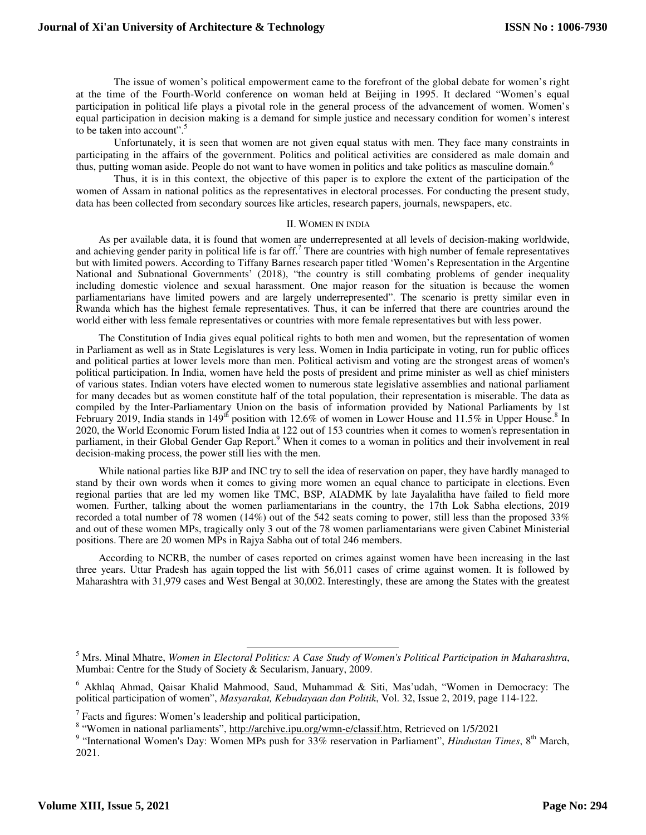The issue of women's political empowerment came to the forefront of the global debate for women's right at the time of the Fourth-World conference on woman held at Beijing in 1995. It declared "Women's equal participation in political life plays a pivotal role in the general process of the advancement of women. Women's equal participation in decision making is a demand for simple justice and necessary condition for women's interest to be taken into account".<sup>5</sup>

Unfortunately, it is seen that women are not given equal status with men. They face many constraints in participating in the affairs of the government. Politics and political activities are considered as male domain and thus, putting woman aside. People do not want to have women in politics and take politics as masculine domain.<sup>6</sup>

Thus, it is in this context, the objective of this paper is to explore the extent of the participation of the women of Assam in national politics as the representatives in electoral processes. For conducting the present study, data has been collected from secondary sources like articles, research papers, journals, newspapers, etc.

#### II. WOMEN IN INDIA

As per available data, it is found that women are underrepresented at all levels of decision-making worldwide, and achieving gender parity in political life is far off.<sup>7</sup> There are countries with high number of female representatives but with limited powers. According to Tiffany Barnes research paper titled 'Women's Representation in the Argentine National and Subnational Governments' (2018), "the country is still combating problems of gender inequality including domestic violence and sexual harassment. One major reason for the situation is because the women parliamentarians have limited powers and are largely underrepresented". The scenario is pretty similar even in Rwanda which has the highest female representatives. Thus, it can be inferred that there are countries around the world either with less female representatives or countries with more female representatives but with less power.

The Constitution of India gives equal political rights to both men and women, but the representation of women in Parliament as well as in State Legislatures is very less. Women in India participate in voting, run for public offices and political parties at lower levels more than men. Political activism and voting are the strongest areas of women's political participation. In India, women have held the posts of president and prime minister as well as chief ministers of various states. Indian voters have elected women to numerous state legislative assemblies and national parliament for many decades but as women constitute half of the total population, their representation is miserable. The data as compiled by the Inter-Parliamentary Union on the basis of information provided by National Parliaments by 1st February 2019, India stands in 149<sup>th</sup> position with 12.6% of women in Lower House and 11.5% in Upper House.<sup>8</sup> In 2020, the World Economic Forum listed India at 122 out of 153 countries when it comes to women's representation in parliament, in their Global Gender Gap Report.<sup>9</sup> When it comes to a woman in politics and their involvement in real decision-making process, the power still lies with the men.

While national parties like BJP and INC try to sell the idea of reservation on paper, they have hardly managed to stand by their own words when it comes to giving more women an equal chance to participate in elections. Even regional parties that are led my women like TMC, BSP, AIADMK by late Jayalalitha have failed to field more women. Further, talking about the women parliamentarians in the country, the 17th Lok Sabha elections, 2019 recorded a total number of 78 women (14%) out of the 542 seats coming to power, still less than the proposed 33% and out of these women MPs, tragically only 3 out of the 78 women parliamentarians were given Cabinet Ministerial positions. There are 20 women MPs in Rajya Sabha out of total 246 members.

According to NCRB, the number of cases reported on crimes against women have been increasing in the last three years. Uttar Pradesh has again topped the list with 56,011 cases of crime against women. It is followed by Maharashtra with 31,979 cases and West Bengal at 30,002. Interestingly, these are among the States with the greatest

 $\overline{a}$ 

<sup>5</sup> Mrs. Minal Mhatre, *Women in Electoral Politics: A Case Study of Women's Political Participation in Maharashtra*, Mumbai: Centre for the Study of Society & Secularism, January, 2009.

<sup>6</sup> Akhlaq Ahmad, Qaisar Khalid Mahmood, Saud, Muhammad & Siti, Mas'udah, "Women in Democracy: The political participation of women", *Masyarakat, Kebudayaan dan Politik*, Vol. 32, Issue 2, 2019, page 114-122.

 $7$  Facts and figures: Women's leadership and political participation,

<sup>&</sup>lt;sup>8</sup> "Women in national parliaments", http://archive.ipu.org/wmn-e/classif.htm, Retrieved on 1/5/2021

<sup>&</sup>lt;sup>9</sup> "International Women's Day: Women MPs push for 33% reservation in Parliament", *Hindustan Times*, 8<sup>th</sup> March, 2021.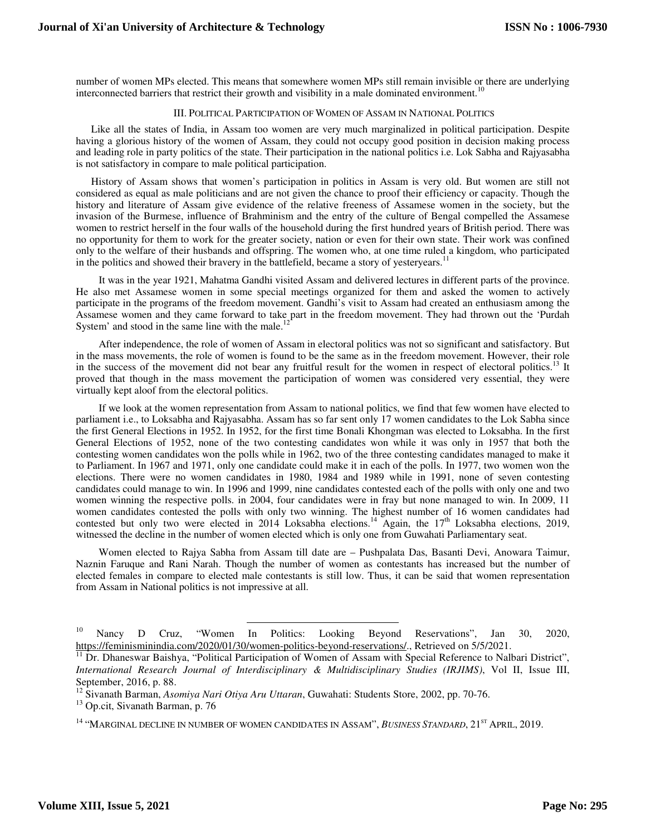number of women MPs elected. This means that somewhere women MPs still remain invisible or there are underlying interconnected barriers that restrict their growth and visibility in a male dominated environment.<sup>10</sup>

## III. POLITICAL PARTICIPATION OF WOMEN OF ASSAM IN NATIONAL POLITICS

Like all the states of India, in Assam too women are very much marginalized in political participation. Despite having a glorious history of the women of Assam, they could not occupy good position in decision making process and leading role in party politics of the state. Their participation in the national politics i.e. Lok Sabha and Rajyasabha is not satisfactory in compare to male political participation.

History of Assam shows that women's participation in politics in Assam is very old. But women are still not considered as equal as male politicians and are not given the chance to proof their efficiency or capacity. Though the history and literature of Assam give evidence of the relative freeness of Assamese women in the society, but the invasion of the Burmese, influence of Brahminism and the entry of the culture of Bengal compelled the Assamese women to restrict herself in the four walls of the household during the first hundred years of British period. There was no opportunity for them to work for the greater society, nation or even for their own state. Their work was confined only to the welfare of their husbands and offspring. The women who, at one time ruled a kingdom, who participated in the politics and showed their bravery in the battlefield, became a story of yesteryears.<sup>1</sup>

It was in the year 1921, Mahatma Gandhi visited Assam and delivered lectures in different parts of the province. He also met Assamese women in some special meetings organized for them and asked the women to actively participate in the programs of the freedom movement. Gandhi's visit to Assam had created an enthusiasm among the Assamese women and they came forward to take part in the freedom movement. They had thrown out the 'Purdah System' and stood in the same line with the male. $^{12}$ 

After independence, the role of women of Assam in electoral politics was not so significant and satisfactory. But in the mass movements, the role of women is found to be the same as in the freedom movement. However, their role in the success of the movement did not bear any fruitful result for the women in respect of electoral politics.<sup>13</sup> It proved that though in the mass movement the participation of women was considered very essential, they were virtually kept aloof from the electoral politics.

If we look at the women representation from Assam to national politics, we find that few women have elected to parliament i.e., to Loksabha and Rajyasabha. Assam has so far sent only 17 women candidates to the Lok Sabha since the first General Elections in 1952. In 1952, for the first time Bonali Khongman was elected to Loksabha. In the first General Elections of 1952, none of the two contesting candidates won while it was only in 1957 that both the contesting women candidates won the polls while in 1962, two of the three contesting candidates managed to make it to Parliament. In 1967 and 1971, only one candidate could make it in each of the polls. In 1977, two women won the elections. There were no women candidates in 1980, 1984 and 1989 while in 1991, none of seven contesting candidates could manage to win. In 1996 and 1999, nine candidates contested each of the polls with only one and two women winning the respective polls. in 2004, four candidates were in fray but none managed to win. In 2009, 11 women candidates contested the polls with only two winning. The highest number of 16 women candidates had contested but only two were elected in 2014 Loksabha elections.<sup>14</sup> Again, the 17<sup>th</sup> Loksabha elections, 2019, witnessed the decline in the number of women elected which is only one from Guwahati Parliamentary seat.

Women elected to Rajya Sabha from Assam till date are – Pushpalata Das, Basanti Devi, Anowara Taimur, Naznin Faruque and Rani Narah. Though the number of women as contestants has increased but the number of elected females in compare to elected male contestants is still low. Thus, it can be said that women representation from Assam in National politics is not impressive at all.

-

<sup>&</sup>lt;sup>10</sup> Nancy D Cruz, "Women In Politics: Looking Beyond Reservations", Jan 30, 2020, https://feminisminindia.com/2020/01/30/women-politics-beyond-reservations/., Retrieved on 5/5/2021.

 $\frac{11}{11}$  Dr. Dhaneswar Baishya, "Political Participation of Women of Assam with Special Reference to Nalbari District", *International Research Journal of Interdisciplinary & Multidisciplinary Studies (IRJIMS)*, Vol II, Issue III, September, 2016, p. 88.

<sup>12</sup> Sivanath Barman, *Asomiya Nari Otiya Aru Uttaran*, Guwahati: Students Store, 2002, pp. 70-76.

<sup>&</sup>lt;sup>13</sup> Op.cit, Sivanath Barman, p. 76

<sup>&</sup>lt;sup>14</sup> "MARGINAL DECLINE IN NUMBER OF WOMEN CANDIDATES IN ASSAM", *BUSINESS STANDARD*, 21<sup>ST</sup> APRIL, 2019.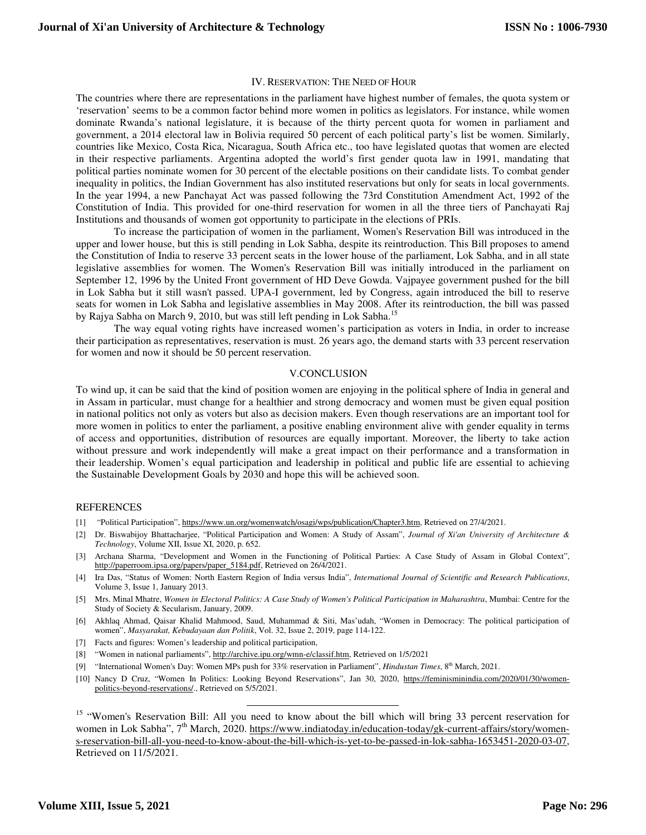## IV. RESERVATION: THE NEED OF HOUR

The countries where there are representations in the parliament have highest number of females, the quota system or 'reservation' seems to be a common factor behind more women in politics as legislators. For instance, while women dominate Rwanda's national legislature, it is because of the thirty percent quota for women in parliament and government, a 2014 electoral law in Bolivia required 50 percent of each political party's list be women. Similarly, countries like Mexico, Costa Rica, Nicaragua, South Africa etc., too have legislated quotas that women are elected in their respective parliaments. Argentina adopted the world's first gender quota law in 1991, mandating that political parties nominate women for 30 percent of the electable positions on their candidate lists. To combat gender inequality in politics, the Indian Government has also instituted reservations but only for seats in local governments. In the year 1994, a new Panchayat Act was passed following the 73rd Constitution Amendment Act, 1992 of the Constitution of India. This provided for one-third reservation for women in all the three tiers of Panchayati Raj Institutions and thousands of women got opportunity to participate in the elections of PRIs.

 To increase the participation of women in the parliament, Women's Reservation Bill was introduced in the upper and lower house, but this is still pending in Lok Sabha, despite its reintroduction. This Bill proposes to amend the Constitution of India to reserve 33 percent seats in the lower house of the parliament, Lok Sabha, and in all state legislative assemblies for women. The Women's Reservation Bill was initially introduced in the parliament on September 12, 1996 by the United Front government of HD Deve Gowda. Vajpayee government pushed for the bill in Lok Sabha but it still wasn't passed. UPA-I government, led by Congress, again introduced the bill to reserve seats for women in Lok Sabha and legislative assemblies in May 2008. After its reintroduction, the bill was passed by Rajya Sabha on March 9, 2010, but was still left pending in Lok Sabha.<sup>15</sup>

 The way equal voting rights have increased women's participation as voters in India, in order to increase their participation as representatives, reservation is must. 26 years ago, the demand starts with 33 percent reservation for women and now it should be 50 percent reservation.

#### V.CONCLUSION

To wind up, it can be said that the kind of position women are enjoying in the political sphere of India in general and in Assam in particular, must change for a healthier and strong democracy and women must be given equal position in national politics not only as voters but also as decision makers. Even though reservations are an important tool for more women in politics to enter the parliament, a positive enabling environment alive with gender equality in terms of access and opportunities, distribution of resources are equally important. Moreover, the liberty to take action without pressure and work independently will make a great impact on their performance and a transformation in their leadership. Women's equal participation and leadership in political and public life are essential to achieving the Sustainable Development Goals by 2030 and hope this will be achieved soon.

## REFERENCES

- [1] "Political Participation", https://www.un.org/womenwatch/osagi/wps/publication/Chapter3.htm, Retrieved on 27/4/2021.
- [2] Dr. Biswabijoy Bhattacharjee, "Political Participation and Women: A Study of Assam", *Journal of Xi'an University of Architecture & Technology*, Volume XII, Issue XI, 2020, p. 652.
- [3] Archana Sharma, "Development and Women in the Functioning of Political Parties: A Case Study of Assam in Global Context", http://paperroom.ipsa.org/papers/paper\_5184.pdf, Retrieved on 26/4/2021.
- [4] Ira Das, "Status of Women: North Eastern Region of India versus India", *International Journal of Scientific and Research Publications*, Volume 3, Issue 1, January 2013.
- [5] Mrs. Minal Mhatre, *Women in Electoral Politics: A Case Study of Women's Political Participation in Maharashtra*, Mumbai: Centre for the Study of Society & Secularism, January, 2009.
- [6] Akhlaq Ahmad, Qaisar Khalid Mahmood, Saud, Muhammad & Siti, Mas'udah, "Women in Democracy: The political participation of women", *Masyarakat, Kebudayaan dan Politik*, Vol. 32, Issue 2, 2019, page 114-122.
- [7] Facts and figures: Women's leadership and political participation,
- [8] "Women in national parliaments", http://archive.ipu.org/wmn-e/classif.htm, Retrieved on 1/5/2021

 $\overline{a}$ 

- [9] "International Women's Day: Women MPs push for 33% reservation in Parliament", *Hindustan Times*, 8th March, 2021.
- [10] Nancy D Cruz, "Women In Politics: Looking Beyond Reservations", Jan 30, 2020, https://feminisminindia.com/2020/01/30/womenpolitics-beyond-reservations/., Retrieved on 5/5/2021.

<sup>15</sup> "Women's Reservation Bill: All you need to know about the bill which will bring 33 percent reservation for women in Lok Sabha", 7<sup>th</sup> March, 2020. https://www.indiatoday.in/education-today/gk-current-affairs/story/womens-reservation-bill-all-you-need-to-know-about-the-bill-which-is-yet-to-be-passed-in-lok-sabha-1653451-2020-03-07, Retrieved on 11/5/2021.